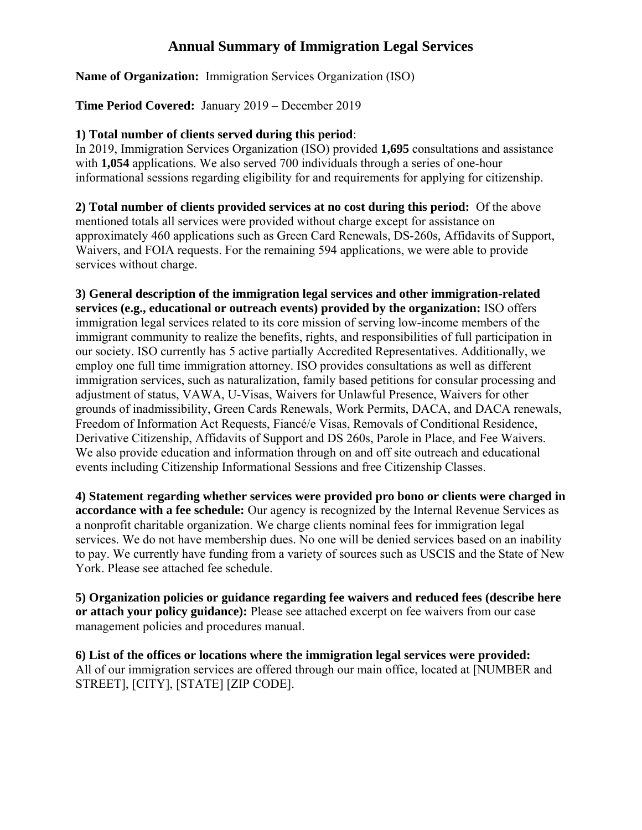## **Annual Summary of Immigration Legal Services**

**Name of Organization:** Immigration Services Organization (ISO)

**Time Period Covered:** January 2019 – December 2019

## **1) Total number of clients served during this period**:

In 2019, Immigration Services Organization (ISO) provided **1,695** consultations and assistance with **1,054** applications. We also served 700 individuals through a series of one-hour informational sessions regarding eligibility for and requirements for applying for citizenship.

**2) Total number of clients provided services at no cost during this period:** Of the above mentioned totals all services were provided without charge except for assistance on approximately 460 applications such as Green Card Renewals, DS-260s, Affidavits of Support, Waivers, and FOIA requests. For the remaining 594 applications, we were able to provide services without charge.

**3) General description of the immigration legal services and other immigration-related services (e.g., educational or outreach events) provided by the organization:** ISO offers immigration legal services related to its core mission of serving low-income members of the immigrant community to realize the benefits, rights, and responsibilities of full participation in our society. ISO currently has 5 active partially Accredited Representatives. Additionally, we employ one full time immigration attorney. ISO provides consultations as well as different immigration services, such as naturalization, family based petitions for consular processing and adjustment of status, VAWA, U-Visas, Waivers for Unlawful Presence, Waivers for other grounds of inadmissibility, Green Cards Renewals, Work Permits, DACA, and DACA renewals, Freedom of Information Act Requests, Fiancé/e Visas, Removals of Conditional Residence, Derivative Citizenship, Affidavits of Support and DS 260s, Parole in Place, and Fee Waivers. We also provide education and information through on and off site outreach and educational events including Citizenship Informational Sessions and free Citizenship Classes.

**4) Statement regarding whether services were provided pro bono or clients were charged in accordance with a fee schedule:** Our agency is recognized by the Internal Revenue Services as a nonprofit charitable organization. We charge clients nominal fees for immigration legal services. We do not have membership dues. No one will be denied services based on an inability to pay. We currently have funding from a variety of sources such as USCIS and the State of New York. Please see attached fee schedule.

**5) Organization policies or guidance regarding fee waivers and reduced fees (describe here or attach your policy guidance):** Please see attached excerpt on fee waivers from our case management policies and procedures manual.

**6) List of the offices or locations where the immigration legal services were provided:** All of our immigration services are offered through our main office, located at [NUMBER and STREET], [CITY], [STATE] [ZIP CODE].